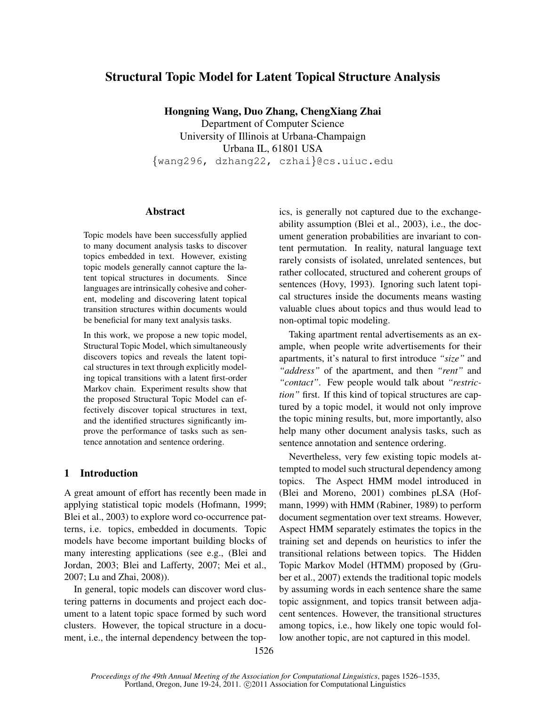# Structural Topic Model for Latent Topical Structure Analysis

Hongning Wang, Duo Zhang, ChengXiang Zhai

Department of Computer Science University of Illinois at Urbana-Champaign Urbana IL, 61801 USA *{*wang296, dzhang22, czhai*}*@cs.uiuc.edu

## Abstract

Topic models have been successfully applied to many document analysis tasks to discover topics embedded in text. However, existing topic models generally cannot capture the latent topical structures in documents. Since languages are intrinsically cohesive and coherent, modeling and discovering latent topical transition structures within documents would be beneficial for many text analysis tasks.

In this work, we propose a new topic model, Structural Topic Model, which simultaneously discovers topics and reveals the latent topical structures in text through explicitly modeling topical transitions with a latent first-order Markov chain. Experiment results show that the proposed Structural Topic Model can effectively discover topical structures in text, and the identified structures significantly improve the performance of tasks such as sentence annotation and sentence ordering.

## 1 Introduction

A great amount of effort has recently been made in applying statistical topic models (Hofmann, 1999; Blei et al., 2003) to explore word co-occurrence patterns, i.e. topics, embedded in documents. Topic models have become important building blocks of many interesting applications (see e.g., (Blei and Jordan, 2003; Blei and Lafferty, 2007; Mei et al., 2007; Lu and Zhai, 2008)).

In general, topic models can discover word clustering patterns in documents and project each document to a latent topic space formed by such word clusters. However, the topical structure in a document, i.e., the internal dependency between the topics, is generally not captured due to the exchangeability assumption (Blei et al., 2003), i.e., the document generation probabilities are invariant to content permutation. In reality, natural language text rarely consists of isolated, unrelated sentences, but rather collocated, structured and coherent groups of sentences (Hovy, 1993). Ignoring such latent topical structures inside the documents means wasting valuable clues about topics and thus would lead to non-optimal topic modeling.

Taking apartment rental advertisements as an example, when people write advertisements for their apartments, it's natural to first introduce *"size"* and *"address"* of the apartment, and then *"rent"* and *"contact"*. Few people would talk about *"restriction"* first. If this kind of topical structures are captured by a topic model, it would not only improve the topic mining results, but, more importantly, also help many other document analysis tasks, such as sentence annotation and sentence ordering.

Nevertheless, very few existing topic models attempted to model such structural dependency among topics. The Aspect HMM model introduced in (Blei and Moreno, 2001) combines pLSA (Hofmann, 1999) with HMM (Rabiner, 1989) to perform document segmentation over text streams. However, Aspect HMM separately estimates the topics in the training set and depends on heuristics to infer the transitional relations between topics. The Hidden Topic Markov Model (HTMM) proposed by (Gruber et al., 2007) extends the traditional topic models by assuming words in each sentence share the same topic assignment, and topics transit between adjacent sentences. However, the transitional structures among topics, i.e., how likely one topic would follow another topic, are not captured in this model.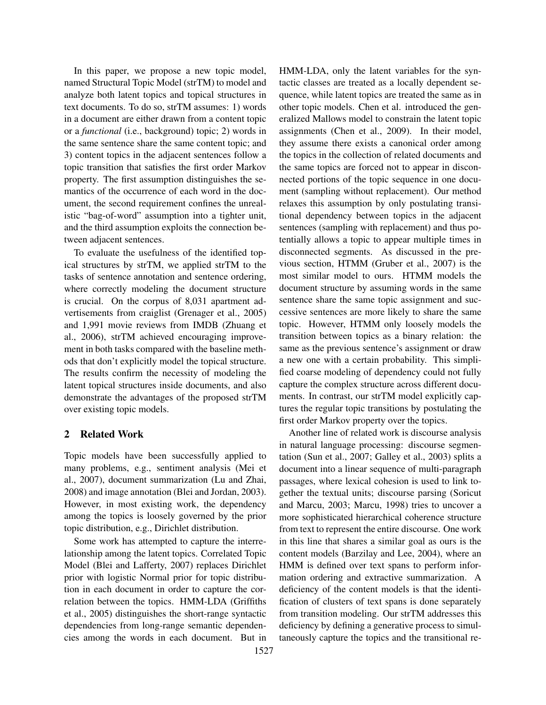In this paper, we propose a new topic model, named Structural Topic Model (strTM) to model and analyze both latent topics and topical structures in text documents. To do so, strTM assumes: 1) words in a document are either drawn from a content topic or a *functional* (i.e., background) topic; 2) words in the same sentence share the same content topic; and 3) content topics in the adjacent sentences follow a topic transition that satisfies the first order Markov property. The first assumption distinguishes the semantics of the occurrence of each word in the document, the second requirement confines the unrealistic "bag-of-word" assumption into a tighter unit, and the third assumption exploits the connection between adjacent sentences.

To evaluate the usefulness of the identified topical structures by strTM, we applied strTM to the tasks of sentence annotation and sentence ordering, where correctly modeling the document structure is crucial. On the corpus of 8,031 apartment advertisements from craiglist (Grenager et al., 2005) and 1,991 movie reviews from IMDB (Zhuang et al., 2006), strTM achieved encouraging improvement in both tasks compared with the baseline methods that don't explicitly model the topical structure. The results confirm the necessity of modeling the latent topical structures inside documents, and also demonstrate the advantages of the proposed strTM over existing topic models.

## 2 Related Work

Topic models have been successfully applied to many problems, e.g., sentiment analysis (Mei et al., 2007), document summarization (Lu and Zhai, 2008) and image annotation (Blei and Jordan, 2003). However, in most existing work, the dependency among the topics is loosely governed by the prior topic distribution, e.g., Dirichlet distribution.

Some work has attempted to capture the interrelationship among the latent topics. Correlated Topic Model (Blei and Lafferty, 2007) replaces Dirichlet prior with logistic Normal prior for topic distribution in each document in order to capture the correlation between the topics. HMM-LDA (Griffiths et al., 2005) distinguishes the short-range syntactic dependencies from long-range semantic dependencies among the words in each document. But in HMM-LDA, only the latent variables for the syntactic classes are treated as a locally dependent sequence, while latent topics are treated the same as in other topic models. Chen et al. introduced the generalized Mallows model to constrain the latent topic assignments (Chen et al., 2009). In their model, they assume there exists a canonical order among the topics in the collection of related documents and the same topics are forced not to appear in disconnected portions of the topic sequence in one document (sampling without replacement). Our method relaxes this assumption by only postulating transitional dependency between topics in the adjacent sentences (sampling with replacement) and thus potentially allows a topic to appear multiple times in disconnected segments. As discussed in the previous section, HTMM (Gruber et al., 2007) is the most similar model to ours. HTMM models the document structure by assuming words in the same sentence share the same topic assignment and successive sentences are more likely to share the same topic. However, HTMM only loosely models the transition between topics as a binary relation: the same as the previous sentence's assignment or draw a new one with a certain probability. This simplified coarse modeling of dependency could not fully capture the complex structure across different documents. In contrast, our strTM model explicitly captures the regular topic transitions by postulating the first order Markov property over the topics.

Another line of related work is discourse analysis in natural language processing: discourse segmentation (Sun et al., 2007; Galley et al., 2003) splits a document into a linear sequence of multi-paragraph passages, where lexical cohesion is used to link together the textual units; discourse parsing (Soricut and Marcu, 2003; Marcu, 1998) tries to uncover a more sophisticated hierarchical coherence structure from text to represent the entire discourse. One work in this line that shares a similar goal as ours is the content models (Barzilay and Lee, 2004), where an HMM is defined over text spans to perform information ordering and extractive summarization. A deficiency of the content models is that the identification of clusters of text spans is done separately from transition modeling. Our strTM addresses this deficiency by defining a generative process to simultaneously capture the topics and the transitional re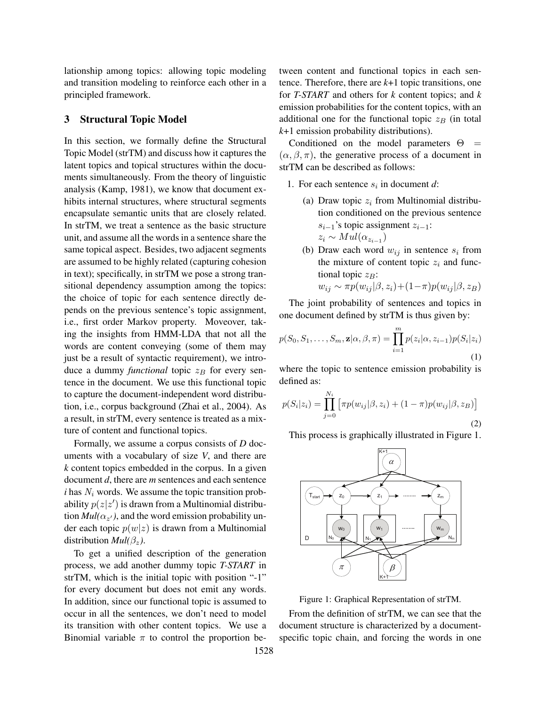lationship among topics: allowing topic modeling and transition modeling to reinforce each other in a principled framework.

#### 3 Structural Topic Model

In this section, we formally define the Structural Topic Model (strTM) and discuss how it captures the latent topics and topical structures within the documents simultaneously. From the theory of linguistic analysis (Kamp, 1981), we know that document exhibits internal structures, where structural segments encapsulate semantic units that are closely related. In strTM, we treat a sentence as the basic structure unit, and assume all the words in a sentence share the same topical aspect. Besides, two adjacent segments are assumed to be highly related (capturing cohesion in text); specifically, in strTM we pose a strong transitional dependency assumption among the topics: the choice of topic for each sentence directly depends on the previous sentence's topic assignment, i.e., first order Markov property. Moveover, taking the insights from HMM-LDA that not all the words are content conveying (some of them may just be a result of syntactic requirement), we introduce a dummy *functional* topic  $z_B$  for every sentence in the document. We use this functional topic to capture the document-independent word distribution, i.e., corpus background (Zhai et al., 2004). As a result, in strTM, every sentence is treated as a mixture of content and functional topics.

Formally, we assume a corpus consists of *D* documents with a vocabulary of size *V*, and there are *k* content topics embedded in the corpus. In a given document *d*, there are *m* sentences and each sentence  $i$  has  $N_i$  words. We assume the topic transition probability  $p(z|z')$  is drawn from a Multinomial distribu- $\text{trion } Mul(\alpha_{z'})$ , and the word emission probability under each topic  $p(w|z)$  is drawn from a Multinomial distribution  $Mul(\beta_z)$ .

To get a unified description of the generation process, we add another dummy topic *T-START* in strTM, which is the initial topic with position "-1" for every document but does not emit any words. In addition, since our functional topic is assumed to occur in all the sentences, we don't need to model its transition with other content topics. We use a Binomial variable  $\pi$  to control the proportion between content and functional topics in each sentence. Therefore, there are *k*+1 topic transitions, one for *T-START* and others for *k* content topics; and *k* emission probabilities for the content topics, with an additional one for the functional topic  $z_B$  (in total *k*+1 emission probability distributions).

Conditioned on the model parameters  $\Theta$  =  $(\alpha, \beta, \pi)$ , the generative process of a document in strTM can be described as follows:

- 1. For each sentence  $s_i$  in document  $d$ :
	- (a) Draw topic  $z_i$  from Multinomial distribution conditioned on the previous sentence *si−*1's topic assignment *zi−*1:  $z_i \sim Mult(\alpha_{z_{i-1}})$
	- (b) Draw each word  $w_{ij}$  in sentence  $s_i$  from the mixture of content topic  $z_i$  and functional topic  $z_B$ :  $w_{ij} \sim \pi p(w_{ij}|\beta, z_i) + (1 - \pi)p(w_{ij}|\beta, z_B)$

The joint probability of sentences and topics in one document defined by strTM is thus given by:

$$
p(S_0, S_1, \dots, S_m, \mathbf{z} | \alpha, \beta, \pi) = \prod_{i=1}^m p(z_i | \alpha, z_{i-1}) p(S_i | z_i)
$$
\n(1)

where the topic to sentence emission probability is defined as:

$$
p(S_i|z_i) = \prod_{j=0}^{N_i} \left[ \pi p(w_{ij}|\beta, z_i) + (1-\pi)p(w_{ij}|\beta, z_B) \right]
$$
\n(2)

This process is graphically illustrated in Figure 1.



Figure 1: Graphical Representation of strTM.

From the definition of strTM, we can see that the document structure is characterized by a documentspecific topic chain, and forcing the words in one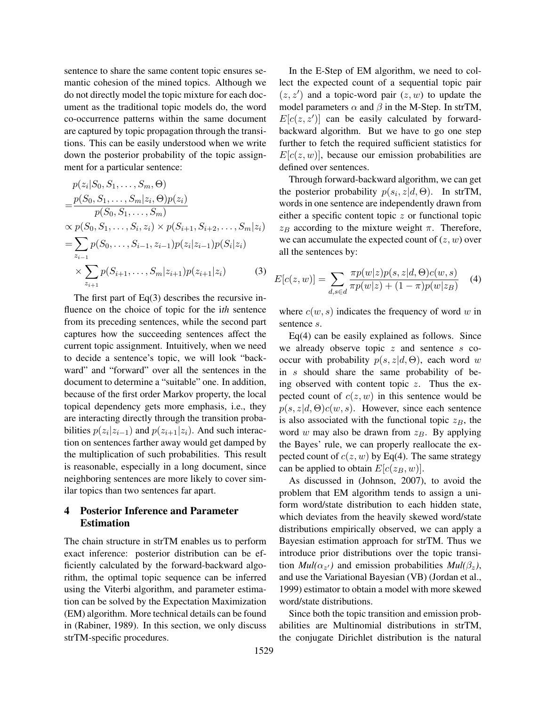sentence to share the same content topic ensures semantic cohesion of the mined topics. Although we do not directly model the topic mixture for each document as the traditional topic models do, the word co-occurrence patterns within the same document are captured by topic propagation through the transitions. This can be easily understood when we write down the posterior probability of the topic assignment for a particular sentence:

$$
p(z_i|S_0, S_1, \dots, S_m, \Theta)
$$
  
= 
$$
\frac{p(S_0, S_1, \dots, S_m|z_i, \Theta)p(z_i)}{p(S_0, S_1, \dots, S_i, z_i) \times p(S_{i+1}, S_{i+2}, \dots, S_m|z_i)}
$$
  
= 
$$
\sum_{z_{i-1}} p(S_0, \dots, S_{i-1}, z_{i-1}) p(z_i|z_{i-1}) p(S_i|z_i)
$$
  

$$
\times \sum_{z_{i+1}} p(S_{i+1}, \dots, S_m|z_{i+1}) p(z_{i+1}|z_i)
$$
 (3)

The first part of  $Eq(3)$  describes the recursive influence on the choice of topic for the i*th* sentence from its preceding sentences, while the second part captures how the succeeding sentences affect the current topic assignment. Intuitively, when we need to decide a sentence's topic, we will look "backward" and "forward" over all the sentences in the document to determine a "suitable" one. In addition, because of the first order Markov property, the local topical dependency gets more emphasis, i.e., they are interacting directly through the transition probabilities  $p(z_i|z_{i-1})$  and  $p(z_{i+1}|z_i)$ . And such interaction on sentences farther away would get damped by the multiplication of such probabilities. This result is reasonable, especially in a long document, since neighboring sentences are more likely to cover similar topics than two sentences far apart.

## 4 Posterior Inference and Parameter Estimation

The chain structure in strTM enables us to perform exact inference: posterior distribution can be efficiently calculated by the forward-backward algorithm, the optimal topic sequence can be inferred using the Viterbi algorithm, and parameter estimation can be solved by the Expectation Maximization (EM) algorithm. More technical details can be found in (Rabiner, 1989). In this section, we only discuss strTM-specific procedures.

In the E-Step of EM algorithm, we need to collect the expected count of a sequential topic pair  $(z, z')$  and a topic-word pair  $(z, w)$  to update the model parameters  $\alpha$  and  $\beta$  in the M-Step. In strTM,  $E[c(z, z')]$  can be easily calculated by forwardbackward algorithm. But we have to go one step further to fetch the required sufficient statistics for  $E[c(z, w)]$ , because our emission probabilities are defined over sentences.

Through forward-backward algorithm, we can get the posterior probability  $p(s_i, z|d, \Theta)$ . In strTM, words in one sentence are independently drawn from either a specific content topic *z* or functional topic  $z_B$  according to the mixture weight  $\pi$ . Therefore, we can accumulate the expected count of (*z, w*) over all the sentences by:

$$
E[c(z, w)] = \sum_{d, s \in d} \frac{\pi p(w|z) p(s, z|d, \Theta) c(w, s)}{\pi p(w|z) + (1 - \pi) p(w|z_B)} \tag{4}
$$

where  $c(w, s)$  indicates the frequency of word *w* in sentence *s*.

Eq(4) can be easily explained as follows. Since we already observe topic *z* and sentence *s* cooccur with probability  $p(s, z|d, \Theta)$ , each word *w* in *s* should share the same probability of being observed with content topic *z*. Thus the expected count of  $c(z, w)$  in this sentence would be  $p(s, z|d, \Theta)c(w, s)$ . However, since each sentence is also associated with the functional topic  $z_B$ , the word *w* may also be drawn from *zB*. By applying the Bayes' rule, we can properly reallocate the expected count of  $c(z, w)$  by Eq(4). The same strategy can be applied to obtain  $E[c(z_B, w)]$ .

As discussed in (Johnson, 2007), to avoid the problem that EM algorithm tends to assign a uniform word/state distribution to each hidden state, which deviates from the heavily skewed word/state distributions empirically observed, we can apply a Bayesian estimation approach for strTM. Thus we introduce prior distributions over the topic transi- $\text{trion } Mul(\alpha_{z'})$  and emission probabilities  $Mul(\beta_z)$ , and use the Variational Bayesian (VB) (Jordan et al., 1999) estimator to obtain a model with more skewed word/state distributions.

Since both the topic transition and emission probabilities are Multinomial distributions in strTM, the conjugate Dirichlet distribution is the natural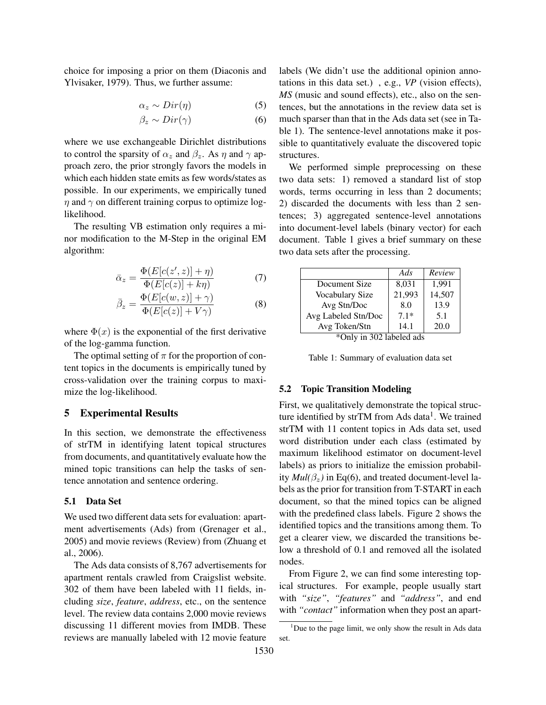choice for imposing a prior on them (Diaconis and Ylvisaker, 1979). Thus, we further assume:

$$
\alpha_z \sim Dir(\eta) \tag{5}
$$

$$
\beta_z \sim Dir(\gamma) \tag{6}
$$

where we use exchangeable Dirichlet distributions to control the sparsity of  $\alpha_z$  and  $\beta_z$ . As  $\eta$  and  $\gamma$  approach zero, the prior strongly favors the models in which each hidden state emits as few words/states as possible. In our experiments, we empirically tuned *η* and *γ* on different training corpus to optimize loglikelihood.

The resulting VB estimation only requires a minor modification to the M-Step in the original EM algorithm:

$$
\bar{\alpha}_z = \frac{\Phi(E[c(z', z)] + \eta)}{\Phi(E[c(z)] + k\eta)}\tag{7}
$$

$$
\bar{\beta}_z = \frac{\Phi(E[c(w,z)] + \gamma)}{\Phi(E[c(z)] + V\gamma)}\tag{8}
$$

where  $\Phi(x)$  is the exponential of the first derivative of the log-gamma function.

The optimal setting of  $\pi$  for the proportion of content topics in the documents is empirically tuned by cross-validation over the training corpus to maximize the log-likelihood.

## 5 Experimental Results

In this section, we demonstrate the effectiveness of strTM in identifying latent topical structures from documents, and quantitatively evaluate how the mined topic transitions can help the tasks of sentence annotation and sentence ordering.

## 5.1 Data Set

We used two different data sets for evaluation: apartment advertisements (Ads) from (Grenager et al., 2005) and movie reviews (Review) from (Zhuang et al., 2006).

The Ads data consists of 8,767 advertisements for apartment rentals crawled from Craigslist website. 302 of them have been labeled with 11 fields, including *size*, *feature*, *address*, etc., on the sentence level. The review data contains 2,000 movie reviews discussing 11 different movies from IMDB. These reviews are manually labeled with 12 movie feature

labels (We didn't use the additional opinion annotations in this data set.) , e.g., *VP* (vision effects), *MS* (music and sound effects), etc., also on the sentences, but the annotations in the review data set is much sparser than that in the Ads data set (see in Table 1). The sentence-level annotations make it possible to quantitatively evaluate the discovered topic structures.

We performed simple preprocessing on these two data sets: 1) removed a standard list of stop words, terms occurring in less than 2 documents; 2) discarded the documents with less than 2 sentences; 3) aggregated sentence-level annotations into document-level labels (binary vector) for each document. Table 1 gives a brief summary on these two data sets after the processing.

|                        | Ads    | Review |
|------------------------|--------|--------|
| Document Size          | 8,031  | 1.991  |
| <b>Vocabulary Size</b> | 21,993 | 14,507 |
| Avg Stn/Doc            | 8.0    | 13.9   |
| Avg Labeled Stn/Doc    | $7.1*$ | 5.1    |
| Avg Token/Stn          | 14.1   | 20.0   |

\*Only in 302 labeled ads

Table 1: Summary of evaluation data set

#### 5.2 Topic Transition Modeling

First, we qualitatively demonstrate the topical structure identified by strTM from Ads data<sup>1</sup>. We trained strTM with 11 content topics in Ads data set, used word distribution under each class (estimated by maximum likelihood estimator on document-level labels) as priors to initialize the emission probability  $Mul(\beta_z)$  in Eq(6), and treated document-level labels as the prior for transition from T-START in each document, so that the mined topics can be aligned with the predefined class labels. Figure 2 shows the identified topics and the transitions among them. To get a clearer view, we discarded the transitions below a threshold of 0.1 and removed all the isolated nodes.

From Figure 2, we can find some interesting topical structures. For example, people usually start with *"size"*, *"features"* and *"address"*, and end with "*contact*" information when they post an apart-

<sup>&</sup>lt;sup>1</sup>Due to the page limit, we only show the result in Ads data set.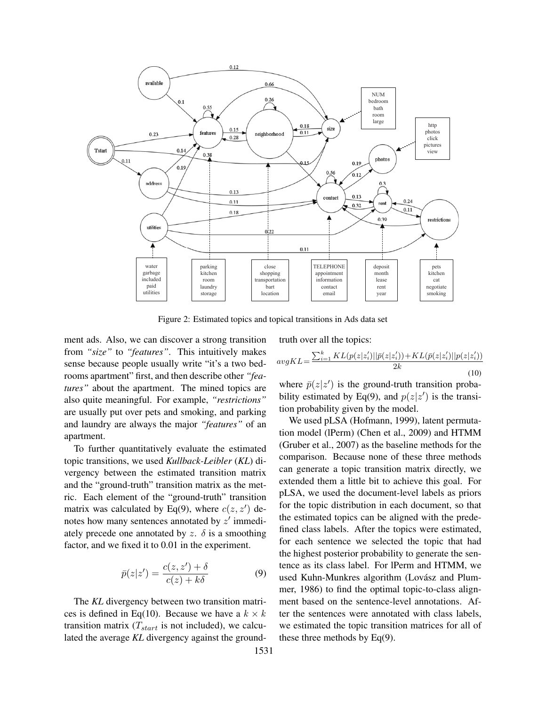

Figure 2: Estimated topics and topical transitions in Ads data set

ment ads. Also, we can discover a strong transition from *"size"* to *"features"*. This intuitively makes sense because people usually write "it's a two bedrooms apartment" first, and then describe other *"features"* about the apartment. The mined topics are also quite meaningful. For example, *"restrictions"* are usually put over pets and smoking, and parking and laundry are always the major *"features"* of an apartment.

To further quantitatively evaluate the estimated topic transitions, we used *Kullback-Leibler* (*KL*) divergency between the estimated transition matrix and the "ground-truth" transition matrix as the metric. Each element of the "ground-truth" transition matrix was calculated by Eq(9), where  $c(z, z')$  denotes how many sentences annotated by *z ′* immediately precede one annotated by  $z$ .  $\delta$  is a smoothing factor, and we fixed it to 0.01 in the experiment.

$$
\bar{p}(z|z') = \frac{c(z, z') + \delta}{c(z) + k\delta} \tag{9}
$$

The *KL* divergency between two transition matrices is defined in Eq(10). Because we have a  $k \times k$ transition matrix  $(T<sub>start</sub>$  is not included), we calculated the average *KL* divergency against the groundtruth over all the topics:

$$
avgKL = \frac{\sum_{i=1}^{k} KL(p(z|z'_{i})||\bar{p}(z|z'_{i})) + KL(\bar{p}(z|z'_{i})||p(z|z'_{i}))}{2k}
$$
(10)

where  $\bar{p}(z|z')$  is the ground-truth transition probability estimated by Eq(9), and  $p(z|z')$  is the transition probability given by the model.

We used pLSA (Hofmann, 1999), latent permutation model (lPerm) (Chen et al., 2009) and HTMM (Gruber et al., 2007) as the baseline methods for the comparison. Because none of these three methods can generate a topic transition matrix directly, we extended them a little bit to achieve this goal. For pLSA, we used the document-level labels as priors for the topic distribution in each document, so that the estimated topics can be aligned with the predefined class labels. After the topics were estimated, for each sentence we selected the topic that had the highest posterior probability to generate the sentence as its class label. For lPerm and HTMM, we used Kuhn-Munkres algorithm (Lovász and Plummer, 1986) to find the optimal topic-to-class alignment based on the sentence-level annotations. After the sentences were annotated with class labels, we estimated the topic transition matrices for all of these three methods by Eq(9).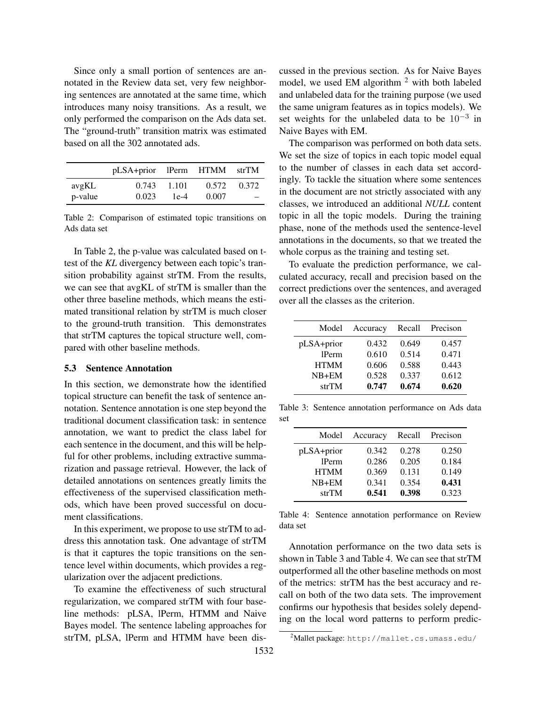Since only a small portion of sentences are annotated in the Review data set, very few neighboring sentences are annotated at the same time, which introduces many noisy transitions. As a result, we only performed the comparison on the Ads data set. The "ground-truth" transition matrix was estimated based on all the 302 annotated ads.

|         | pLSA+prior lPerm HTMM strTM |        |       |       |
|---------|-----------------------------|--------|-------|-------|
| avgKL   | 0.743                       | 1.101  | 0.572 | 0.372 |
| p-value | 0.023                       | $1e-4$ | 0.007 |       |

Table 2: Comparison of estimated topic transitions on Ads data set

In Table 2, the p-value was calculated based on ttest of the *KL* divergency between each topic's transition probability against strTM. From the results, we can see that avgKL of strTM is smaller than the other three baseline methods, which means the estimated transitional relation by strTM is much closer to the ground-truth transition. This demonstrates that strTM captures the topical structure well, compared with other baseline methods.

## 5.3 Sentence Annotation

In this section, we demonstrate how the identified topical structure can benefit the task of sentence annotation. Sentence annotation is one step beyond the traditional document classification task: in sentence annotation, we want to predict the class label for each sentence in the document, and this will be helpful for other problems, including extractive summarization and passage retrieval. However, the lack of detailed annotations on sentences greatly limits the effectiveness of the supervised classification methods, which have been proved successful on document classifications.

In this experiment, we propose to use strTM to address this annotation task. One advantage of strTM is that it captures the topic transitions on the sentence level within documents, which provides a regularization over the adjacent predictions.

To examine the effectiveness of such structural regularization, we compared strTM with four baseline methods: pLSA, lPerm, HTMM and Naive Bayes model. The sentence labeling approaches for strTM, pLSA, lPerm and HTMM have been discussed in the previous section. As for Naive Bayes model, we used EM algorithm  $2$  with both labeled and unlabeled data for the training purpose (we used the same unigram features as in topics models). We set weights for the unlabeled data to be 10*−*<sup>3</sup> in Naive Bayes with EM.

The comparison was performed on both data sets. We set the size of topics in each topic model equal to the number of classes in each data set accordingly. To tackle the situation where some sentences in the document are not strictly associated with any classes, we introduced an additional *NULL* content topic in all the topic models. During the training phase, none of the methods used the sentence-level annotations in the documents, so that we treated the whole corpus as the training and testing set.

To evaluate the prediction performance, we calculated accuracy, recall and precision based on the correct predictions over the sentences, and averaged over all the classes as the criterion.

| Model       | Accuracy | Recall | Precison |
|-------------|----------|--------|----------|
| pLSA+prior  | 0.432    | 0.649  | 0.457    |
| 1Perm       | 0.610    | 0.514  | 0.471    |
| <b>HTMM</b> | 0.606    | 0.588  | 0.443    |
| $NB+EM$     | 0.528    | 0.337  | 0.612    |
| strTM       | 0.747    | 0.674  | 0.620    |

Table 3: Sentence annotation performance on Ads data set

| Model       | Accuracy | Recall | Precison |
|-------------|----------|--------|----------|
| pLSA+prior  | 0.342    | 0.278  | 0.250    |
| 1Perm       | 0.286    | 0.205  | 0.184    |
| <b>HTMM</b> | 0.369    | 0.131  | 0.149    |
| $NB+EM$     | 0.341    | 0.354  | 0.431    |
| strTM       | 0.541    | 0.398  | 0.323    |

Table 4: Sentence annotation performance on Review data set

Annotation performance on the two data sets is shown in Table 3 and Table 4. We can see that strTM outperformed all the other baseline methods on most of the metrics: strTM has the best accuracy and recall on both of the two data sets. The improvement confirms our hypothesis that besides solely depending on the local word patterns to perform predic-

<sup>2</sup>Mallet package: http://mallet.cs.umass.edu/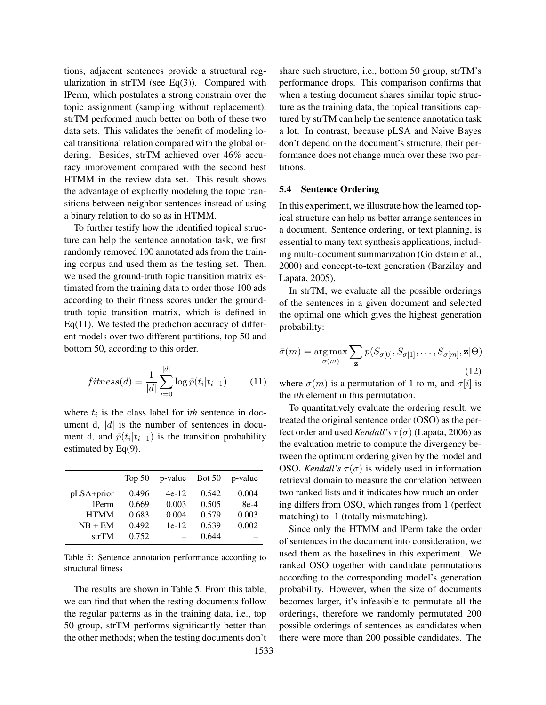tions, adjacent sentences provide a structural regularization in strTM (see Eq $(3)$ ). Compared with lPerm, which postulates a strong constrain over the topic assignment (sampling without replacement), strTM performed much better on both of these two data sets. This validates the benefit of modeling local transitional relation compared with the global ordering. Besides, strTM achieved over 46% accuracy improvement compared with the second best HTMM in the review data set. This result shows the advantage of explicitly modeling the topic transitions between neighbor sentences instead of using a binary relation to do so as in HTMM.

To further testify how the identified topical structure can help the sentence annotation task, we first randomly removed 100 annotated ads from the training corpus and used them as the testing set. Then, we used the ground-truth topic transition matrix estimated from the training data to order those 100 ads according to their fitness scores under the groundtruth topic transition matrix, which is defined in Eq $(11)$ . We tested the prediction accuracy of different models over two different partitions, top 50 and bottom 50, according to this order.

$$
fitness(d) = \frac{1}{|d|} \sum_{i=0}^{|d|} \log \bar{p}(t_i | t_{i-1}) \tag{11}
$$

where  $t_i$  is the class label for ith sentence in document d, *|d|* is the number of sentences in document d, and  $\bar{p}(t_i|t_{i-1})$  is the transition probability estimated by Eq(9).

|             | Top $50$ | $p$ -value Bot 50 |       | p-value |
|-------------|----------|-------------------|-------|---------|
| pLSA+prior  | 0.496    | $4e-12$           | 0.542 | 0.004   |
| 1Perm       | 0.669    | 0.003             | 0.505 | $8e-4$  |
| <b>HTMM</b> | 0.683    | 0.004             | 0.579 | 0.003   |
| $NB + EM$   | 0.492    | $1e-12$           | 0.539 | 0.002   |
| strTM       | 0.752    |                   | 0.644 |         |

Table 5: Sentence annotation performance according to structural fitness

The results are shown in Table 5. From this table, we can find that when the testing documents follow the regular patterns as in the training data, i.e., top 50 group, strTM performs significantly better than the other methods; when the testing documents don't share such structure, i.e., bottom 50 group, strTM's performance drops. This comparison confirms that when a testing document shares similar topic structure as the training data, the topical transitions captured by strTM can help the sentence annotation task a lot. In contrast, because pLSA and Naive Bayes don't depend on the document's structure, their performance does not change much over these two partitions.

#### 5.4 Sentence Ordering

In this experiment, we illustrate how the learned topical structure can help us better arrange sentences in a document. Sentence ordering, or text planning, is essential to many text synthesis applications, including multi-document summarization (Goldstein et al., 2000) and concept-to-text generation (Barzilay and Lapata, 2005).

In strTM, we evaluate all the possible orderings of the sentences in a given document and selected the optimal one which gives the highest generation probability:

$$
\bar{\sigma}(m) = \underset{\sigma(m)}{\arg\max} \sum_{\mathbf{z}} p(S_{\sigma[0]}, S_{\sigma[1]}, \dots, S_{\sigma[m]}, \mathbf{z}|\Theta)
$$
\n(12)

where  $\sigma(m)$  is a permutation of 1 to m, and  $\sigma[i]$  is the i*th* element in this permutation.

To quantitatively evaluate the ordering result, we treated the original sentence order (OSO) as the perfect order and used *Kendall's*  $\tau(\sigma)$  (Lapata, 2006) as the evaluation metric to compute the divergency between the optimum ordering given by the model and OSO. *Kendall's*  $\tau(\sigma)$  is widely used in information retrieval domain to measure the correlation between two ranked lists and it indicates how much an ordering differs from OSO, which ranges from 1 (perfect matching) to -1 (totally mismatching).

Since only the HTMM and lPerm take the order of sentences in the document into consideration, we used them as the baselines in this experiment. We ranked OSO together with candidate permutations according to the corresponding model's generation probability. However, when the size of documents becomes larger, it's infeasible to permutate all the orderings, therefore we randomly permutated 200 possible orderings of sentences as candidates when there were more than 200 possible candidates. The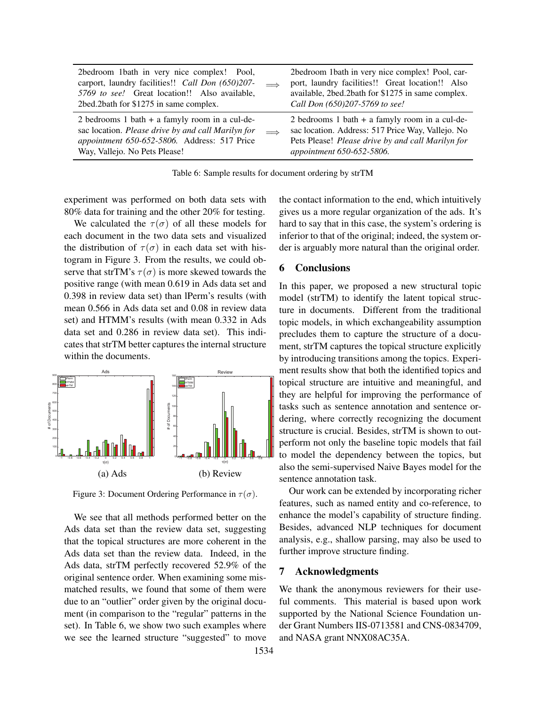| 2bedroom 1bath in very nice complex! Pool,<br>carport, laundry facilities!! Call Don (650)207-<br>5769 to see! Great location!! Also available,<br>2bed.2bath for \$1275 in same complex. |            | 2bedroom 1bath in very nice complex! Pool, car-<br>port, laundry facilities!! Great location!! Also<br>available, 2bed.2bath for \$1275 in same complex.<br>Call Don (650)207-5769 to see! |
|-------------------------------------------------------------------------------------------------------------------------------------------------------------------------------------------|------------|--------------------------------------------------------------------------------------------------------------------------------------------------------------------------------------------|
| 2 bedrooms 1 bath $+$ a famyly room in a cul-de-<br>sac location. Please drive by and call Marilyn for<br>appointment 650-652-5806. Address: 517 Price<br>Way, Vallejo. No Pets Please!   | $\implies$ | 2 bedrooms 1 bath $+$ a famyly room in a cul-de-<br>sac location. Address: 517 Price Way, Vallejo. No<br>Pets Please! Please drive by and call Marilyn for<br>appointment 650-652-5806.    |

Table 6: Sample results for document ordering by strTM

experiment was performed on both data sets with 80% data for training and the other 20% for testing.

We calculated the  $\tau(\sigma)$  of all these models for each document in the two data sets and visualized the distribution of  $\tau(\sigma)$  in each data set with histogram in Figure 3. From the results, we could observe that strTM's  $\tau(\sigma)$  is more skewed towards the positive range (with mean 0.619 in Ads data set and 0.398 in review data set) than lPerm's results (with mean 0.566 in Ads data set and 0.08 in review data set) and HTMM's results (with mean 0.332 in Ads data set and 0.286 in review data set). This indicates that strTM better captures the internal structure within the documents.



Figure 3: Document Ordering Performance in *τ* (*σ*).

We see that all methods performed better on the Ads data set than the review data set, suggesting that the topical structures are more coherent in the Ads data set than the review data. Indeed, in the Ads data, strTM perfectly recovered 52.9% of the original sentence order. When examining some mismatched results, we found that some of them were due to an "outlier" order given by the original document (in comparison to the "regular" patterns in the set). In Table 6, we show two such examples where we see the learned structure "suggested" to move

the contact information to the end, which intuitively gives us a more regular organization of the ads. It's hard to say that in this case, the system's ordering is inferior to that of the original; indeed, the system order is arguably more natural than the original order.

## 6 Conclusions

In this paper, we proposed a new structural topic model (strTM) to identify the latent topical structure in documents. Different from the traditional topic models, in which exchangeability assumption precludes them to capture the structure of a document, strTM captures the topical structure explicitly by introducing transitions among the topics. Experiment results show that both the identified topics and topical structure are intuitive and meaningful, and they are helpful for improving the performance of tasks such as sentence annotation and sentence ordering, where correctly recognizing the document structure is crucial. Besides, strTM is shown to outperform not only the baseline topic models that fail to model the dependency between the topics, but also the semi-supervised Naive Bayes model for the sentence annotation task.

Our work can be extended by incorporating richer features, such as named entity and co-reference, to enhance the model's capability of structure finding. Besides, advanced NLP techniques for document analysis, e.g., shallow parsing, may also be used to further improve structure finding.

#### 7 Acknowledgments

We thank the anonymous reviewers for their useful comments. This material is based upon work supported by the National Science Foundation under Grant Numbers IIS-0713581 and CNS-0834709, and NASA grant NNX08AC35A.